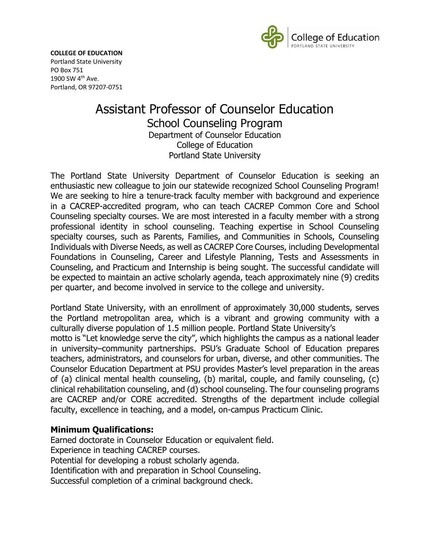

**COLLEGE OF EDUCATION** Portland State University PO Box 751 1900 SW 4th Ave. Portland, OR 97207-0751

# Assistant Professor of Counselor Education School Counseling Program Department of Counselor Education College of Education Portland State University

The Portland State University Department of Counselor Education is seeking an enthusiastic new colleague to join our statewide recognized School Counseling Program! We are seeking to hire a tenure-track faculty member with background and experience in a CACREP-accredited program, who can teach CACREP Common Core and School Counseling specialty courses. We are most interested in a faculty member with a strong professional identity in school counseling. Teaching expertise in School Counseling specialty courses, such as Parents, Families, and Communities in Schools, Counseling Individuals with Diverse Needs, as well as CACREP Core Courses, including Developmental Foundations in Counseling, Career and Lifestyle Planning, Tests and Assessments in Counseling, and Practicum and Internship is being sought. The successful candidate will be expected to maintain an active scholarly agenda, teach approximately nine (9) credits per quarter, and become involved in service to the college and university.

Portland State University, with an enrollment of approximately 30,000 students, serves the Portland metropolitan area, which is a vibrant and growing community with a culturally diverse population of 1.5 million people. Portland State University's motto is "Let knowledge serve the city", which highlights the campus as a national leader in university–community partnerships. PSU's Graduate School of Education prepares teachers, administrators, and counselors for urban, diverse, and other communities. The Counselor Education Department at PSU provides Master's level preparation in the areas of (a) clinical mental health counseling, (b) marital, couple, and family counseling, (c) clinical rehabilitation counseling, and (d) school counseling. The four counseling programs are CACREP and/or CORE accredited. Strengths of the department include collegial faculty, excellence in teaching, and a model, on-campus Practicum Clinic.

### **Minimum Qualifications:**

Earned doctorate in Counselor Education or equivalent field. Experience in teaching CACREP courses. Potential for developing a robust scholarly agenda. Identification with and preparation in School Counseling. Successful completion of a criminal background check.